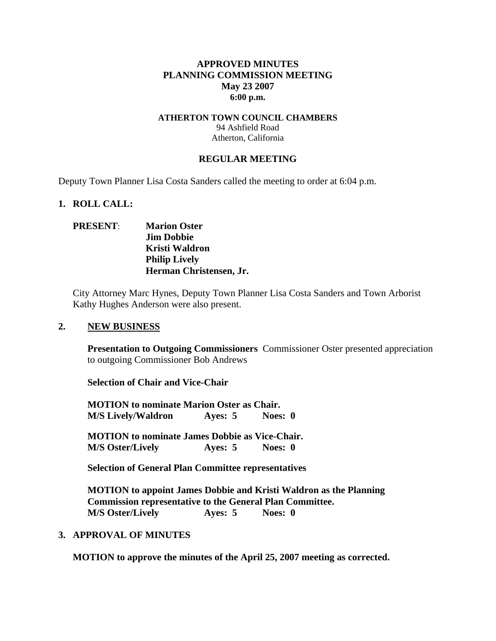## **APPROVED MINUTES PLANNING COMMISSION MEETING May 23 2007 6:00 p.m.**

#### **ATHERTON TOWN COUNCIL CHAMBERS**  94 Ashfield Road Atherton, California

#### **REGULAR MEETING**

Deputy Town Planner Lisa Costa Sanders called the meeting to order at 6:04 p.m.

#### **1. ROLL CALL:**

## **PRESENT**: **Marion Oster Jim Dobbie Kristi Waldron Philip Lively Herman Christensen, Jr.**

City Attorney Marc Hynes, Deputy Town Planner Lisa Costa Sanders and Town Arborist Kathy Hughes Anderson were also present.

#### **2. NEW BUSINESS**

**Presentation to Outgoing Commissioners** Commissioner Oster presented appreciation to outgoing Commissioner Bob Andrews

**Selection of Chair and Vice-Chair** 

**MOTION to nominate Marion Oster as Chair. M/S Lively/Waldron Ayes: 5 Noes: 0** 

**MOTION to nominate James Dobbie as Vice-Chair. M/S Oster/Lively Ayes: 5 Noes: 0** 

 **Selection of General Plan Committee representatives** 

**MOTION to appoint James Dobbie and Kristi Waldron as the Planning Commission representative to the General Plan Committee. M/S Oster/Lively Ayes: 5 Noes: 0** 

### **3. APPROVAL OF MINUTES**

**MOTION to approve the minutes of the April 25, 2007 meeting as corrected.**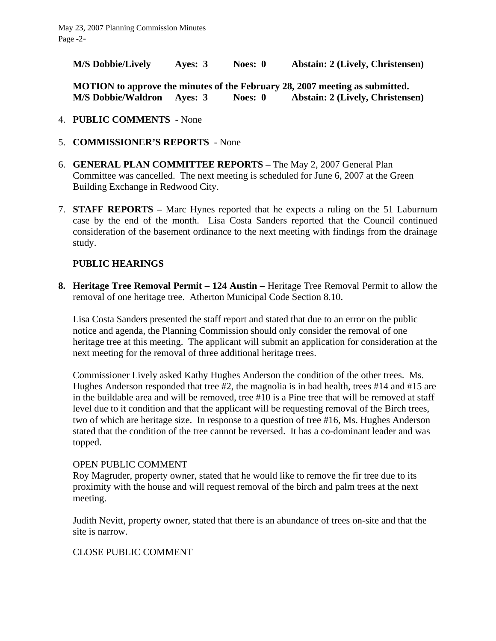**M/S Dobbie/Lively Ayes: 3 Noes: 0 Abstain: 2 (Lively, Christensen)** 

**MOTION to approve the minutes of the February 28, 2007 meeting as submitted. M/S Dobbie/Waldron Ayes: 3 Noes: 0 Abstain: 2 (Lively, Christensen)**

- 4. **PUBLIC COMMENTS** None
- 5. **COMMISSIONER'S REPORTS**  None
- 6. **GENERAL PLAN COMMITTEE REPORTS –** The May 2, 2007 General Plan Committee was cancelled. The next meeting is scheduled for June 6, 2007 at the Green Building Exchange in Redwood City.
- 7. **STAFF REPORTS** Marc Hynes reported that he expects a ruling on the 51 Laburnum case by the end of the month. Lisa Costa Sanders reported that the Council continued consideration of the basement ordinance to the next meeting with findings from the drainage study.

# **PUBLIC HEARINGS**

**8. Heritage Tree Removal Permit – 124 Austin –** Heritage Tree Removal Permit to allow the removal of one heritage tree. Atherton Municipal Code Section 8.10.

Lisa Costa Sanders presented the staff report and stated that due to an error on the public notice and agenda, the Planning Commission should only consider the removal of one heritage tree at this meeting. The applicant will submit an application for consideration at the next meeting for the removal of three additional heritage trees.

Commissioner Lively asked Kathy Hughes Anderson the condition of the other trees. Ms. Hughes Anderson responded that tree #2, the magnolia is in bad health, trees #14 and #15 are in the buildable area and will be removed, tree #10 is a Pine tree that will be removed at staff level due to it condition and that the applicant will be requesting removal of the Birch trees, two of which are heritage size. In response to a question of tree #16, Ms. Hughes Anderson stated that the condition of the tree cannot be reversed. It has a co-dominant leader and was topped.

# OPEN PUBLIC COMMENT

Roy Magruder, property owner, stated that he would like to remove the fir tree due to its proximity with the house and will request removal of the birch and palm trees at the next meeting.

Judith Nevitt, property owner, stated that there is an abundance of trees on-site and that the site is narrow.

# CLOSE PUBLIC COMMENT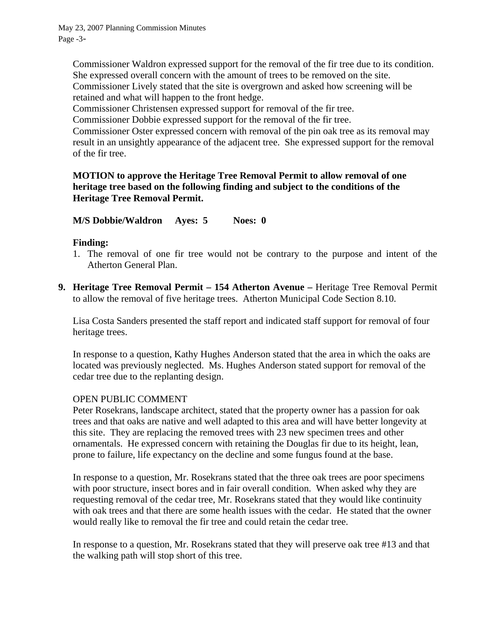Commissioner Waldron expressed support for the removal of the fir tree due to its condition. She expressed overall concern with the amount of trees to be removed on the site.

Commissioner Lively stated that the site is overgrown and asked how screening will be retained and what will happen to the front hedge.

Commissioner Christensen expressed support for removal of the fir tree.

Commissioner Dobbie expressed support for the removal of the fir tree.

Commissioner Oster expressed concern with removal of the pin oak tree as its removal may result in an unsightly appearance of the adjacent tree. She expressed support for the removal of the fir tree.

# **MOTION to approve the Heritage Tree Removal Permit to allow removal of one heritage tree based on the following finding and subject to the conditions of the Heritage Tree Removal Permit.**

**M/S Dobbie/Waldron Ayes: 5 Noes: 0** 

# **Finding:**

- 1. The removal of one fir tree would not be contrary to the purpose and intent of the Atherton General Plan.
- **9. Heritage Tree Removal Permit 154 Atherton Avenue** Heritage Tree Removal Permit to allow the removal of five heritage trees. Atherton Municipal Code Section 8.10.

Lisa Costa Sanders presented the staff report and indicated staff support for removal of four heritage trees.

In response to a question, Kathy Hughes Anderson stated that the area in which the oaks are located was previously neglected. Ms. Hughes Anderson stated support for removal of the cedar tree due to the replanting design.

# OPEN PUBLIC COMMENT

Peter Rosekrans, landscape architect, stated that the property owner has a passion for oak trees and that oaks are native and well adapted to this area and will have better longevity at this site. They are replacing the removed trees with 23 new specimen trees and other ornamentals. He expressed concern with retaining the Douglas fir due to its height, lean, prone to failure, life expectancy on the decline and some fungus found at the base.

In response to a question, Mr. Rosekrans stated that the three oak trees are poor specimens with poor structure, insect bores and in fair overall condition. When asked why they are requesting removal of the cedar tree, Mr. Rosekrans stated that they would like continuity with oak trees and that there are some health issues with the cedar. He stated that the owner would really like to removal the fir tree and could retain the cedar tree.

In response to a question, Mr. Rosekrans stated that they will preserve oak tree #13 and that the walking path will stop short of this tree.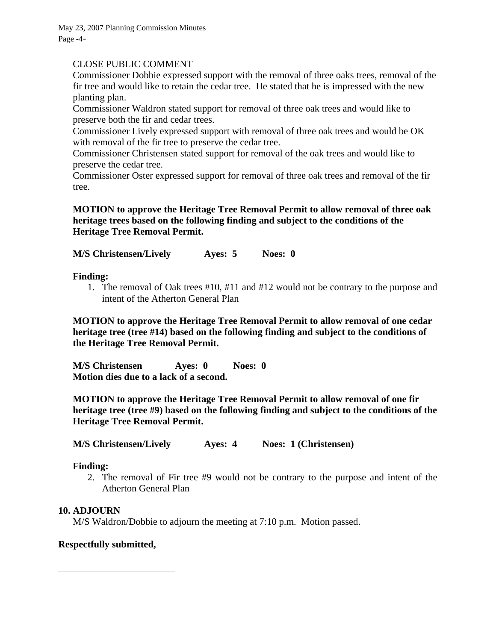May 23, 2007 Planning Commission Minutes Page -4-

# CLOSE PUBLIC COMMENT

Commissioner Dobbie expressed support with the removal of three oaks trees, removal of the fir tree and would like to retain the cedar tree. He stated that he is impressed with the new planting plan.

Commissioner Waldron stated support for removal of three oak trees and would like to preserve both the fir and cedar trees.

Commissioner Lively expressed support with removal of three oak trees and would be OK with removal of the fir tree to preserve the cedar tree.

Commissioner Christensen stated support for removal of the oak trees and would like to preserve the cedar tree.

Commissioner Oster expressed support for removal of three oak trees and removal of the fir tree.

**MOTION to approve the Heritage Tree Removal Permit to allow removal of three oak heritage trees based on the following finding and subject to the conditions of the Heritage Tree Removal Permit.** 

**M/S Christensen/Lively Ayes: 5 Noes: 0** 

## **Finding:**

1. The removal of Oak trees #10, #11 and #12 would not be contrary to the purpose and intent of the Atherton General Plan

**MOTION to approve the Heritage Tree Removal Permit to allow removal of one cedar heritage tree (tree #14) based on the following finding and subject to the conditions of the Heritage Tree Removal Permit.** 

**M/S Christensen Ayes: 0 Noes: 0 Motion dies due to a lack of a second.** 

**MOTION to approve the Heritage Tree Removal Permit to allow removal of one fir heritage tree (tree #9) based on the following finding and subject to the conditions of the Heritage Tree Removal Permit.** 

**M/S Christensen/Lively Ayes: 4 Noes: 1 (Christensen)** 

### **Finding:**

2. The removal of Fir tree #9 would not be contrary to the purpose and intent of the Atherton General Plan

### **10. ADJOURN**

 $\overline{a}$ 

M/S Waldron/Dobbie to adjourn the meeting at 7:10 p.m. Motion passed.

### **Respectfully submitted,**